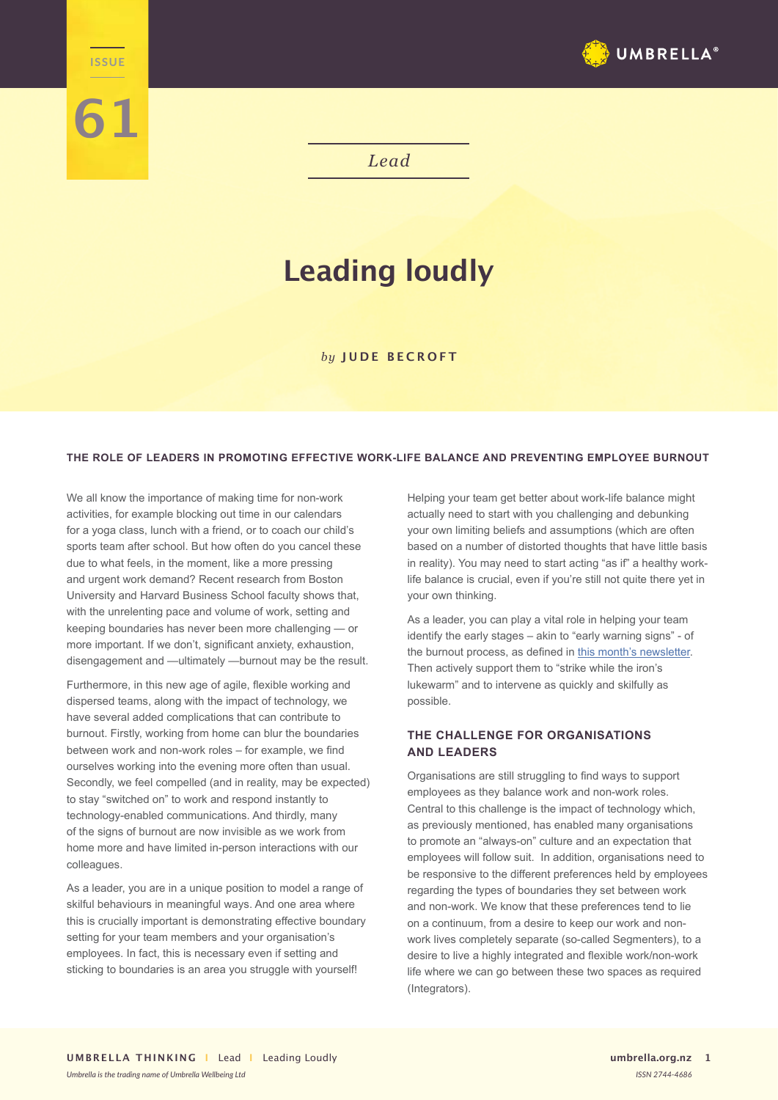

*Lead*

# **Leading loudly**

### *by* **JUDE BECROFT**

### **THE ROLE OF LEADERS IN PROMOTING EFFECTIVE WORK-LIFE BALANCE AND PREVENTING EMPLOYEE BURNOUT**

We all know the importance of making time for non-work activities, for example blocking out time in our calendars for a yoga class, lunch with a friend, or to coach our child's sports team after school. But how often do you cancel these due to what feels, in the moment, like a more pressing and urgent work demand? Recent research from Boston University and Harvard Business School faculty shows that, with the unrelenting pace and volume of work, setting and keeping boundaries has never been more challenging — or more important. If we don't, significant anxiety, exhaustion, disengagement and —ultimately —burnout may be the result.

**Lead ISSUE**

**61**

Furthermore, in this new age of agile, flexible working and dispersed teams, along with the impact of technology, we have several added complications that can contribute to burnout. Firstly, working from home can blur the boundaries between work and non-work roles – for example, we find ourselves working into the evening more often than usual. Secondly, we feel compelled (and in reality, may be expected) to stay "switched on" to work and respond instantly to technology-enabled communications. And thirdly, many of the signs of burnout are now invisible as we work from home more and have limited in-person interactions with our colleagues.

As a leader, you are in a unique position to model a range of skilful behaviours in meaningful ways. And one area where this is crucially important is demonstrating effective boundary setting for your team members and your organisation's employees. In fact, this is necessary even if setting and sticking to boundaries is an area you struggle with yourself!

Helping your team get better about work-life balance might actually need to start with you challenging and debunking your own limiting beliefs and assumptions (which are often based on a number of distorted thoughts that have little basis in reality). You may need to start acting "as if" a healthy worklife balance is crucial, even if you're still not quite there yet in your own thinking.

As a leader, you can play a vital role in helping your team identify the early stages – akin to "early warning signs" - of the burnout process, as defined in [this month's newsletter](https://umbrella.org.nz/burnout-at-work/). Then actively support them to "strike while the iron's lukewarm" and to intervene as quickly and skilfully as possible.

# **THE CHALLENGE FOR ORGANISATIONS AND LEADERS**

Organisations are still struggling to find ways to support employees as they balance work and non-work roles. Central to this challenge is the impact of technology which, as previously mentioned, has enabled many organisations to promote an "always-on" culture and an expectation that employees will follow suit. In addition, organisations need to be responsive to the different preferences held by employees regarding the types of boundaries they set between work and non-work. We know that these preferences tend to lie on a continuum, from a desire to keep our work and nonwork lives completely separate (so-called Segmenters), to a desire to live a highly integrated and flexible work/non-work life where we can go between these two spaces as required (Integrators).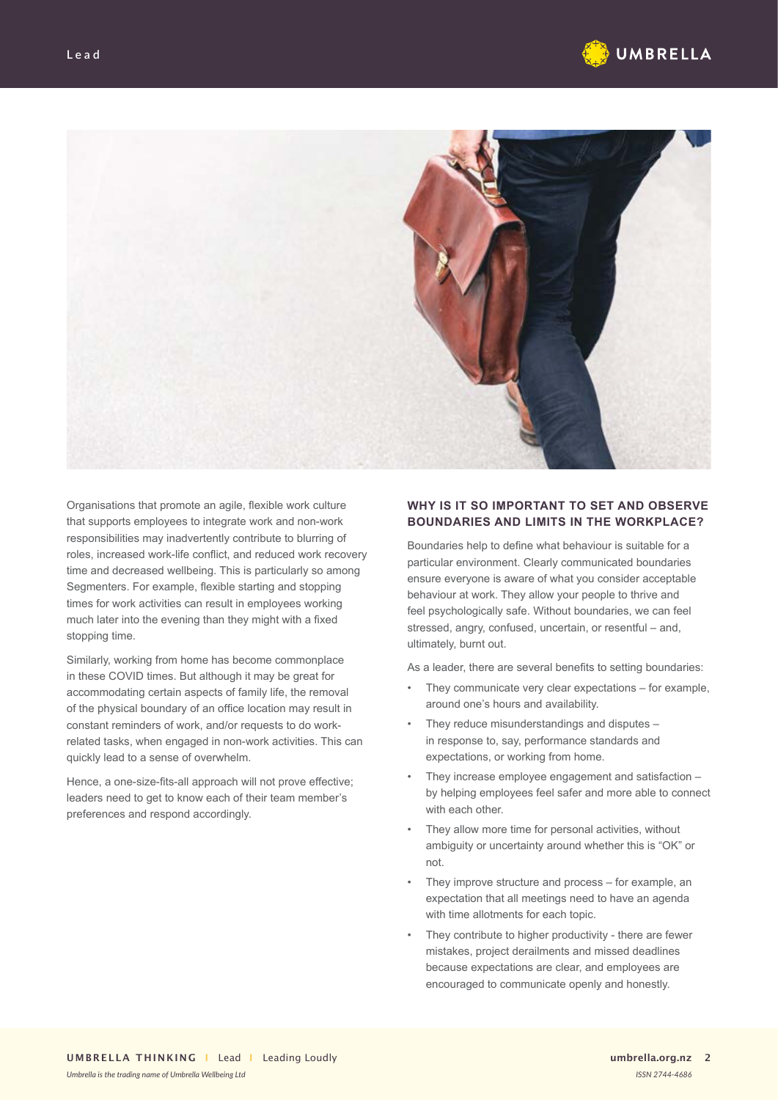



Organisations that promote an agile, flexible work culture that supports employees to integrate work and non-work responsibilities may inadvertently contribute to blurring of roles, increased work-life conflict, and reduced work recovery time and decreased wellbeing. This is particularly so among Segmenters. For example, flexible starting and stopping times for work activities can result in employees working much later into the evening than they might with a fixed stopping time.

Similarly, working from home has become commonplace in these COVID times. But although it may be great for accommodating certain aspects of family life, the removal of the physical boundary of an office location may result in constant reminders of work, and/or requests to do workrelated tasks, when engaged in non-work activities. This can quickly lead to a sense of overwhelm.

Hence, a one-size-fits-all approach will not prove effective; leaders need to get to know each of their team member's preferences and respond accordingly.

## **WHY IS IT SO IMPORTANT TO SET AND OBSERVE BOUNDARIES AND LIMITS IN THE WORKPLACE?**

Boundaries help to define what behaviour is suitable for a particular environment. Clearly communicated boundaries ensure everyone is aware of what you consider acceptable behaviour at work. They allow your people to thrive and feel psychologically safe. Without boundaries, we can feel stressed, angry, confused, uncertain, or resentful – and, ultimately, burnt out.

As a leader, there are several benefits to setting boundaries:

- They communicate very clear expectations for example, around one's hours and availability.
- They reduce misunderstandings and disputes in response to, say, performance standards and expectations, or working from home.
- They increase employee engagement and satisfaction by helping employees feel safer and more able to connect with each other.
- They allow more time for personal activities, without ambiguity or uncertainty around whether this is "OK" or not.
- They improve structure and process for example, an expectation that all meetings need to have an agenda with time allotments for each topic.
- They contribute to higher productivity there are fewer mistakes, project derailments and missed deadlines because expectations are clear, and employees are encouraged to communicate openly and honestly.